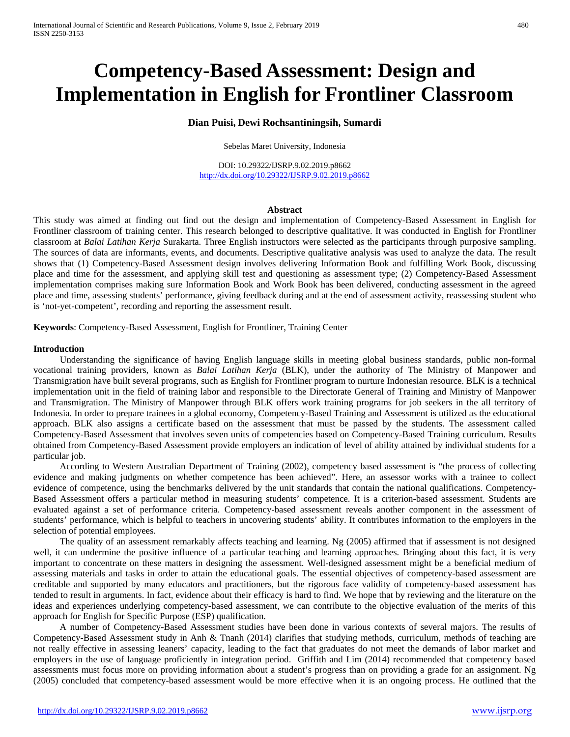# **Competency-Based Assessment: Design and Implementation in English for Frontliner Classroom**

# **Dian Puisi, Dewi Rochsantiningsih, Sumardi**

Sebelas Maret University, Indonesia

DOI: 10.29322/IJSRP.9.02.2019.p8662 <http://dx.doi.org/10.29322/IJSRP.9.02.2019.p8662>

# **Abstract**

This study was aimed at finding out find out the design and implementation of Competency-Based Assessment in English for Frontliner classroom of training center. This research belonged to descriptive qualitative. It was conducted in English for Frontliner classroom at *Balai Latihan Kerja* Surakarta. Three English instructors were selected as the participants through purposive sampling. The sources of data are informants, events, and documents. Descriptive qualitative analysis was used to analyze the data. The result shows that (1) Competency-Based Assessment design involves delivering Information Book and fulfilling Work Book, discussing place and time for the assessment, and applying skill test and questioning as assessment type; (2) Competency-Based Assessment implementation comprises making sure Information Book and Work Book has been delivered, conducting assessment in the agreed place and time, assessing students' performance, giving feedback during and at the end of assessment activity, reassessing student who is 'not-yet-competent', recording and reporting the assessment result.

**Keywords**: Competency-Based Assessment, English for Frontliner, Training Center

### **Introduction**

Understanding the significance of having English language skills in meeting global business standards, public non-formal vocational training providers, known as *Balai Latihan Kerja* (BLK), under the authority of The Ministry of Manpower and Transmigration have built several programs, such as English for Frontliner program to nurture Indonesian resource. BLK is a technical implementation unit in the field of training labor and responsible to the Directorate General of Training and Ministry of Manpower and Transmigration. The Ministry of Manpower through BLK offers work training programs for job seekers in the all territory of Indonesia. In order to prepare trainees in a global economy, Competency-Based Training and Assessment is utilized as the educational approach. BLK also assigns a certificate based on the assessment that must be passed by the students. The assessment called Competency-Based Assessment that involves seven units of competencies based on Competency-Based Training curriculum. Results obtained from Competency-Based Assessment provide employers an indication of level of ability attained by individual students for a particular job.

According to Western Australian Department of Training (2002), competency based assessment is "the process of collecting evidence and making judgments on whether competence has been achieved". Here, an assessor works with a trainee to collect evidence of competence, using the benchmarks delivered by the unit standards that contain the national qualifications. Competency-Based Assessment offers a particular method in measuring students' competence. It is a criterion-based assessment. Students are evaluated against a set of performance criteria. Competency-based assessment reveals another component in the assessment of students' performance, which is helpful to teachers in uncovering students' ability. It contributes information to the employers in the selection of potential employees.

The quality of an assessment remarkably affects teaching and learning. Ng (2005) affirmed that if assessment is not designed well, it can undermine the positive influence of a particular teaching and learning approaches. Bringing about this fact, it is very important to concentrate on these matters in designing the assessment. Well-designed assessment might be a beneficial medium of assessing materials and tasks in order to attain the educational goals. The essential objectives of competency-based assessment are creditable and supported by many educators and practitioners, but the rigorous face validity of competency-based assessment has tended to result in arguments. In fact, evidence about their efficacy is hard to find. We hope that by reviewing and the literature on the ideas and experiences underlying competency-based assessment, we can contribute to the objective evaluation of the merits of this approach for English for Specific Purpose (ESP) qualification.

A number of Competency-Based Assessment studies have been done in various contexts of several majors. The results of Competency-Based Assessment study in Anh & Tnanh (2014) clarifies that studying methods, curriculum, methods of teaching are not really effective in assessing leaners' capacity, leading to the fact that graduates do not meet the demands of labor market and employers in the use of language proficiently in integration period. Griffith and Lim (2014) recommended that competency based assessments must focus more on providing information about a student's progress than on providing a grade for an assignment. Ng (2005) concluded that competency-based assessment would be more effective when it is an ongoing process. He outlined that the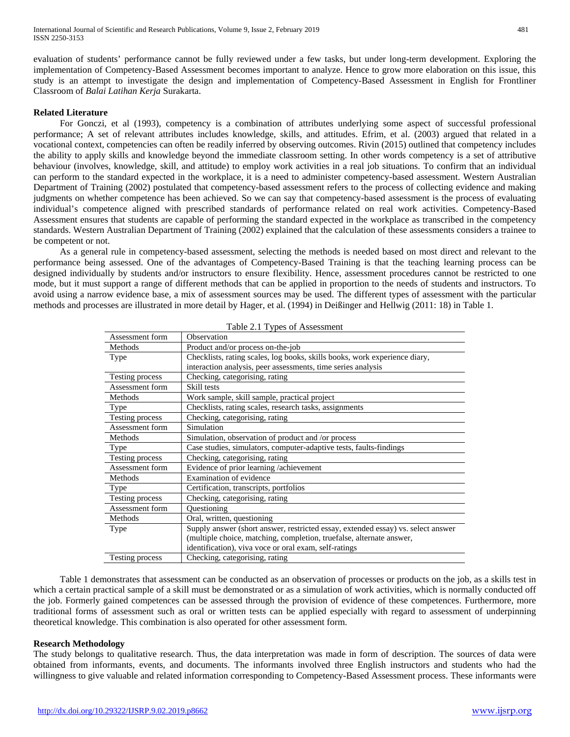evaluation of students' performance cannot be fully reviewed under a few tasks, but under long-term development. Exploring the implementation of Competency-Based Assessment becomes important to analyze. Hence to grow more elaboration on this issue, this study is an attempt to investigate the design and implementation of Competency-Based Assessment in English for Frontliner Classroom of *Balai Latihan Kerja* Surakarta.

# **Related Literature**

For Gonczi, et al (1993), competency is a combination of attributes underlying some aspect of successful professional performance; A set of relevant attributes includes knowledge, skills, and attitudes. Efrim, et al. (2003) argued that related in a vocational context, competencies can often be readily inferred by observing outcomes. Rivin (2015) outlined that competency includes the ability to apply skills and knowledge beyond the immediate classroom setting. In other words competency is a set of attributive behaviour (involves, knowledge, skill, and attitude) to employ work activities in a real job situations. To confirm that an individual can perform to the standard expected in the workplace, it is a need to administer competency-based assessment. Western Australian Department of Training (2002) postulated that competency-based assessment refers to the process of collecting evidence and making judgments on whether competence has been achieved. So we can say that competency-based assessment is the process of evaluating individual's competence aligned with prescribed standards of performance related on real work activities. Competency-Based Assessment ensures that students are capable of performing the standard expected in the workplace as transcribed in the competency standards. Western Australian Department of Training (2002) explained that the calculation of these assessments considers a trainee to be competent or not.

As a general rule in competency-based assessment, selecting the methods is needed based on most direct and relevant to the performance being assessed. One of the advantages of Competency-Based Training is that the teaching learning process can be designed individually by students and/or instructors to ensure flexibility. Hence, assessment procedures cannot be restricted to one mode, but it must support a range of different methods that can be applied in proportion to the needs of students and instructors. To avoid using a narrow evidence base, a mix of assessment sources may be used. The different types of assessment with the particular methods and processes are illustrated in more detail by Hager, et al. (1994) in Deißinger and Hellwig (2011: 18) in Table 1.

| Assessment form                                                                          | Observation                                                                |  |  |  |
|------------------------------------------------------------------------------------------|----------------------------------------------------------------------------|--|--|--|
| Methods                                                                                  | Product and/or process on-the-job                                          |  |  |  |
| Type                                                                                     | Checklists, rating scales, log books, skills books, work experience diary, |  |  |  |
|                                                                                          | interaction analysis, peer assessments, time series analysis               |  |  |  |
| Testing process                                                                          | Checking, categorising, rating                                             |  |  |  |
| Assessment form                                                                          | Skill tests                                                                |  |  |  |
| Methods                                                                                  | Work sample, skill sample, practical project                               |  |  |  |
| Type                                                                                     | Checklists, rating scales, research tasks, assignments                     |  |  |  |
| Testing process                                                                          | Checking, categorising, rating                                             |  |  |  |
| Assessment form                                                                          | Simulation                                                                 |  |  |  |
| Methods                                                                                  | Simulation, observation of product and /or process                         |  |  |  |
| <b>Type</b>                                                                              | Case studies, simulators, computer-adaptive tests, faults-findings         |  |  |  |
| Testing process                                                                          | Checking, categorising, rating                                             |  |  |  |
| Assessment form                                                                          | Evidence of prior learning /achievement                                    |  |  |  |
| Methods                                                                                  | Examination of evidence                                                    |  |  |  |
| Type                                                                                     | Certification, transcripts, portfolios                                     |  |  |  |
| Testing process                                                                          | Checking, categorising, rating                                             |  |  |  |
| Assessment form                                                                          | Ouestioning                                                                |  |  |  |
| Methods                                                                                  | Oral, written, questioning                                                 |  |  |  |
| Supply answer (short answer, restricted essay, extended essay) vs. select answer<br>Type |                                                                            |  |  |  |
|                                                                                          | (multiple choice, matching, completion, truefalse, alternate answer,       |  |  |  |
|                                                                                          | identification), viva voce or oral exam, self-ratings                      |  |  |  |
| Testing process                                                                          | Checking, categorising, rating                                             |  |  |  |
|                                                                                          |                                                                            |  |  |  |

Table 2.1 Types of Assessment

Table 1 demonstrates that assessment can be conducted as an observation of processes or products on the job, as a skills test in which a certain practical sample of a skill must be demonstrated or as a simulation of work activities, which is normally conducted off the job. Formerly gained competences can be assessed through the provision of evidence of these competences. Furthermore, more traditional forms of assessment such as oral or written tests can be applied especially with regard to assessment of underpinning theoretical knowledge. This combination is also operated for other assessment form.

# **Research Methodology**

The study belongs to qualitative research. Thus, the data interpretation was made in form of description. The sources of data were obtained from informants, events, and documents. The informants involved three English instructors and students who had the willingness to give valuable and related information corresponding to Competency-Based Assessment process. These informants were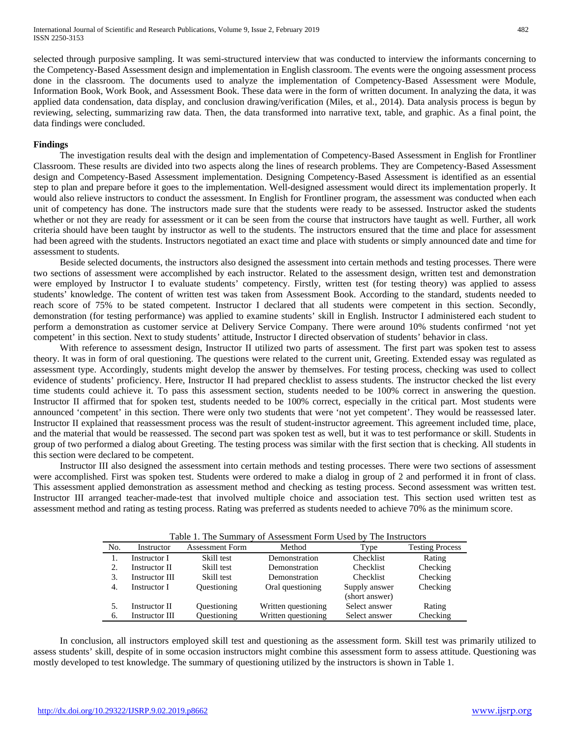selected through purposive sampling. It was semi-structured interview that was conducted to interview the informants concerning to the Competency-Based Assessment design and implementation in English classroom. The events were the ongoing assessment process done in the classroom. The documents used to analyze the implementation of Competency-Based Assessment were Module, Information Book, Work Book, and Assessment Book. These data were in the form of written document. In analyzing the data, it was applied data condensation, data display, and conclusion drawing/verification (Miles, et al., 2014). Data analysis process is begun by reviewing, selecting, summarizing raw data. Then, the data transformed into narrative text, table, and graphic. As a final point, the data findings were concluded.

#### **Findings**

The investigation results deal with the design and implementation of Competency-Based Assessment in English for Frontliner Classroom. These results are divided into two aspects along the lines of research problems. They are Competency-Based Assessment design and Competency-Based Assessment implementation. Designing Competency-Based Assessment is identified as an essential step to plan and prepare before it goes to the implementation. Well-designed assessment would direct its implementation properly. It would also relieve instructors to conduct the assessment. In English for Frontliner program, the assessment was conducted when each unit of competency has done. The instructors made sure that the students were ready to be assessed. Instructor asked the students whether or not they are ready for assessment or it can be seen from the course that instructors have taught as well. Further, all work criteria should have been taught by instructor as well to the students. The instructors ensured that the time and place for assessment had been agreed with the students. Instructors negotiated an exact time and place with students or simply announced date and time for assessment to students.

Beside selected documents, the instructors also designed the assessment into certain methods and testing processes. There were two sections of assessment were accomplished by each instructor. Related to the assessment design, written test and demonstration were employed by Instructor I to evaluate students' competency. Firstly, written test (for testing theory) was applied to assess students' knowledge. The content of written test was taken from Assessment Book. According to the standard, students needed to reach score of 75% to be stated competent. Instructor I declared that all students were competent in this section. Secondly, demonstration (for testing performance) was applied to examine students' skill in English. Instructor I administered each student to perform a demonstration as customer service at Delivery Service Company. There were around 10% students confirmed 'not yet competent' in this section. Next to study students' attitude, Instructor I directed observation of students' behavior in class.

With reference to assessment design, Instructor II utilized two parts of assessment. The first part was spoken test to assess theory. It was in form of oral questioning. The questions were related to the current unit, Greeting. Extended essay was regulated as assessment type. Accordingly, students might develop the answer by themselves. For testing process, checking was used to collect evidence of students' proficiency. Here, Instructor II had prepared checklist to assess students. The instructor checked the list every time students could achieve it. To pass this assessment section, students needed to be 100% correct in answering the question. Instructor II affirmed that for spoken test, students needed to be 100% correct, especially in the critical part. Most students were announced 'competent' in this section. There were only two students that were 'not yet competent'. They would be reassessed later. Instructor II explained that reassessment process was the result of student-instructor agreement. This agreement included time, place, and the material that would be reassessed. The second part was spoken test as well, but it was to test performance or skill. Students in group of two performed a dialog about Greeting. The testing process was similar with the first section that is checking. All students in this section were declared to be competent.

Instructor III also designed the assessment into certain methods and testing processes. There were two sections of assessment were accomplished. First was spoken test. Students were ordered to make a dialog in group of 2 and performed it in front of class. This assessment applied demonstration as assessment method and checking as testing process. Second assessment was written test. Instructor III arranged teacher-made-test that involved multiple choice and association test. This section used written test as assessment method and rating as testing process. Rating was preferred as students needed to achieve 70% as the minimum score.

| Table 1. The Summary of Assessment Form Osed by The Instructors |                |                        |                     |                  |                        |  |
|-----------------------------------------------------------------|----------------|------------------------|---------------------|------------------|------------------------|--|
| No.                                                             | Instructor     | <b>Assessment Form</b> | Method              | Type             | <b>Testing Process</b> |  |
|                                                                 | Instructor I   | Skill test             | Demonstration       | <b>Checklist</b> | Rating                 |  |
| 2.                                                              | Instructor II  | Skill test             | Demonstration       | <b>Checklist</b> | Checking               |  |
| 3.                                                              | Instructor III | Skill test             | Demonstration       | <b>Checklist</b> | Checking               |  |
| 4.                                                              | Instructor I   | Questioning            | Oral questioning    | Supply answer    | Checking               |  |
|                                                                 |                |                        |                     | (short answer)   |                        |  |
|                                                                 | Instructor II  | Questioning            | Written questioning | Select answer    | Rating                 |  |
| 6.                                                              | Instructor III | Questioning            | Written questioning | Select answer    | Checking               |  |

Table 1. The Summary of Assessment Form Used by The Instructors

In conclusion, all instructors employed skill test and questioning as the assessment form. Skill test was primarily utilized to assess students' skill, despite of in some occasion instructors might combine this assessment form to assess attitude. Questioning was mostly developed to test knowledge. The summary of questioning utilized by the instructors is shown in Table 1.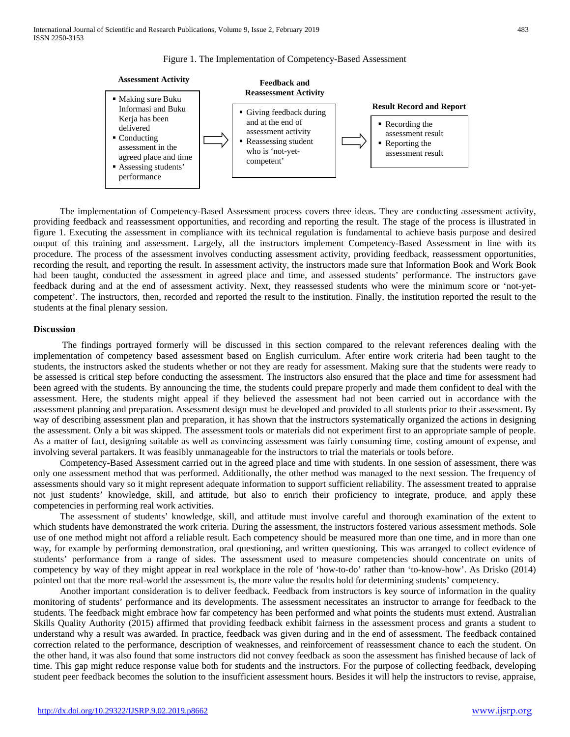



The implementation of Competency-Based Assessment process covers three ideas. They are conducting assessment activity, providing feedback and reassessment opportunities, and recording and reporting the result. The stage of the process is illustrated in figure 1. Executing the assessment in compliance with its technical regulation is fundamental to achieve basis purpose and desired output of this training and assessment. Largely, all the instructors implement Competency-Based Assessment in line with its procedure. The process of the assessment involves conducting assessment activity, providing feedback, reassessment opportunities, recording the result, and reporting the result. In assessment activity, the instructors made sure that Information Book and Work Book had been taught, conducted the assessment in agreed place and time, and assessed students' performance. The instructors gave feedback during and at the end of assessment activity. Next, they reassessed students who were the minimum score or 'not-yetcompetent'. The instructors, then, recorded and reported the result to the institution. Finally, the institution reported the result to the students at the final plenary session.

#### **Discussion**

The findings portrayed formerly will be discussed in this section compared to the relevant references dealing with the implementation of competency based assessment based on English curriculum. After entire work criteria had been taught to the students, the instructors asked the students whether or not they are ready for assessment. Making sure that the students were ready to be assessed is critical step before conducting the assessment. The instructors also ensured that the place and time for assessment had been agreed with the students. By announcing the time, the students could prepare properly and made them confident to deal with the assessment. Here, the students might appeal if they believed the assessment had not been carried out in accordance with the assessment planning and preparation. Assessment design must be developed and provided to all students prior to their assessment. By way of describing assessment plan and preparation, it has shown that the instructors systematically organized the actions in designing the assessment. Only a bit was skipped. The assessment tools or materials did not experiment first to an appropriate sample of people. As a matter of fact, designing suitable as well as convincing assessment was fairly consuming time, costing amount of expense, and involving several partakers. It was feasibly unmanageable for the instructors to trial the materials or tools before.

Competency-Based Assessment carried out in the agreed place and time with students. In one session of assessment, there was only one assessment method that was performed. Additionally, the other method was managed to the next session. The frequency of assessments should vary so it might represent adequate information to support sufficient reliability. The assessment treated to appraise not just students' knowledge, skill, and attitude, but also to enrich their proficiency to integrate, produce, and apply these competencies in performing real work activities.

The assessment of students' knowledge, skill, and attitude must involve careful and thorough examination of the extent to which students have demonstrated the work criteria. During the assessment, the instructors fostered various assessment methods. Sole use of one method might not afford a reliable result. Each competency should be measured more than one time, and in more than one way, for example by performing demonstration, oral questioning, and written questioning. This was arranged to collect evidence of students' performance from a range of sides. The assessment used to measure competencies should concentrate on units of competency by way of they might appear in real workplace in the role of 'how-to-do' rather than 'to-know-how'. As Drisko (2014) pointed out that the more real-world the assessment is, the more value the results hold for determining students' competency.

Another important consideration is to deliver feedback. Feedback from instructors is key source of information in the quality monitoring of students' performance and its developments. The assessment necessitates an instructor to arrange for feedback to the students. The feedback might embrace how far competency has been performed and what points the students must extend. Australian Skills Quality Authority (2015) affirmed that providing feedback exhibit fairness in the assessment process and grants a student to understand why a result was awarded. In practice, feedback was given during and in the end of assessment. The feedback contained correction related to the performance, description of weaknesses, and reinforcement of reassessment chance to each the student. On the other hand, it was also found that some instructors did not convey feedback as soon the assessment has finished because of lack of time. This gap might reduce response value both for students and the instructors. For the purpose of collecting feedback, developing student peer feedback becomes the solution to the insufficient assessment hours. Besides it will help the instructors to revise, appraise,